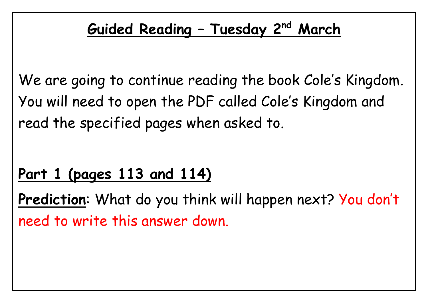## **Guided Reading – Tuesday 2 nd March**

We are going to continue reading the book Cole's Kingdom. You will need to open the PDF called Cole's Kingdom and read the specified pages when asked to.

## **Part 1 (pages 113 and 114)**

**Prediction**: What do you think will happen next? You don't need to write this answer down.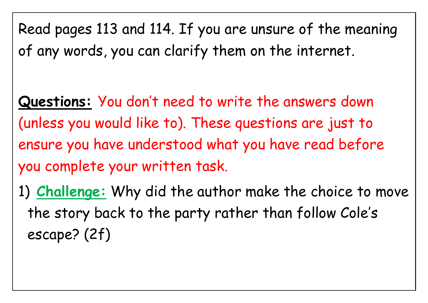Read pages 113 and 114. If you are unsure of the meaning of any words, you can clarify them on the internet.

**Questions:** You don't need to write the answers down (unless you would like to). These questions are just to ensure you have understood what you have read before you complete your written task.

1) **Challenge:** Why did the author make the choice to move the story back to the party rather than follow Cole's escape? (2f)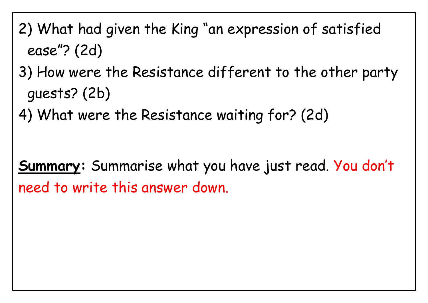- 2) What had given the King "an expression of satisfied ease"? (2d)
- 3) How were the Resistance different to the other party guests? (2b)
- 4) What were the Resistance waiting for? (2d)

**Summary:** Summarise what you have just read. You don't need to write this answer down.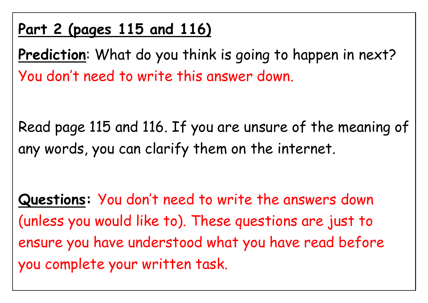## **Part 2 (pages 115 and 116)**

Prediction: What do you think is going to happen in next? You don't need to write this answer down.

Read page 115 and 116. If you are unsure of the meaning of any words, you can clarify them on the internet.

**Questions:** You don't need to write the answers down (unless you would like to). These questions are just to ensure you have understood what you have read before you complete your written task.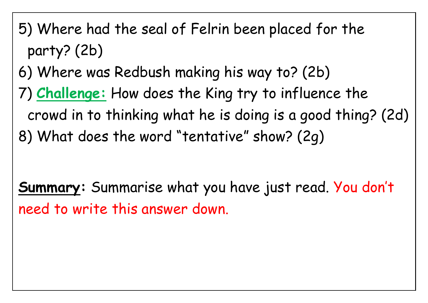- 5) Where had the seal of Felrin been placed for the party? (2b)
- 6) Where was Redbush making his way to? (2b)
- 7) **Challenge:** How does the King try to influence the crowd in to thinking what he is doing is a good thing? (2d) 8) What does the word "tentative" show? (2g)

**Summary:** Summarise what you have just read. You don't need to write this answer down.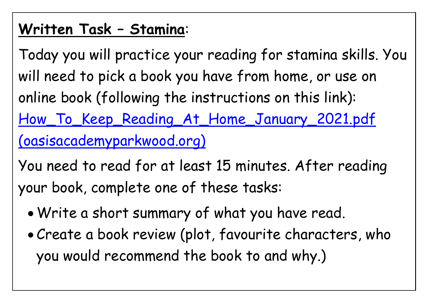## **Written Task – Stamina**:

Today you will practice your reading for stamina skills. You will need to pick a book you have from home, or use on online book (following the instructions on this link): [How\\_To\\_Keep\\_Reading\\_At\\_Home\\_January\\_2021.pdf](https://www.oasisacademyparkwood.org/uploaded/Parkwood/Curriculum/Year_Groups_and_Teachers/How_To_Keep_Reading_At_Home_January_2021.pdf)  [\(oasisacademyparkwood.org\)](https://www.oasisacademyparkwood.org/uploaded/Parkwood/Curriculum/Year_Groups_and_Teachers/How_To_Keep_Reading_At_Home_January_2021.pdf)

You need to read for at least 15 minutes. After reading your book, complete one of these tasks:

- Write a short summary of what you have read.
- Create a book review (plot, favourite characters, who you would recommend the book to and why.)